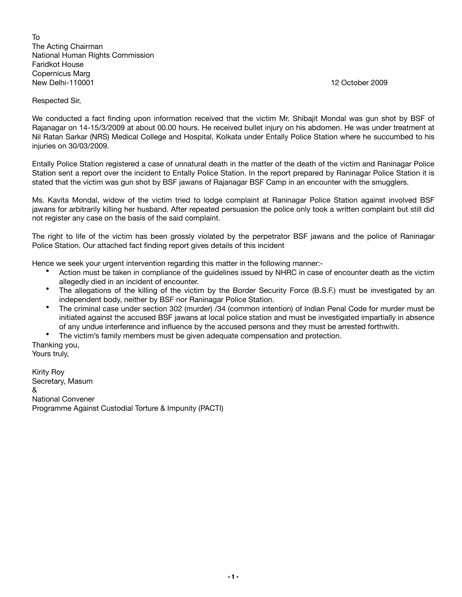To The Acting Chairman National Human Rights Commission Faridkot House Copernicus Marg New Delhi-110001 12 October 2009

Respected Sir,

We conducted a fact finding upon information received that the victim Mr. Shibajit Mondal was gun shot by BSF of Rajanagar on 14-15/3/2009 at about 00.00 hours. He received bullet injury on his abdomen. He was under treatment at Nil Ratan Sarkar (NRS) Medical College and Hospital, Kolkata under Entally Police Station where he succumbed to his injuries on 30/03/2009.

Entally Police Station registered a case of unnatural death in the matter of the death of the victim and Raninagar Police Station sent a report over the incident to Entally Police Station. In the report prepared by Raninagar Police Station it is stated that the victim was gun shot by BSF jawans of Rajanagar BSF Camp in an encounter with the smugglers.

Ms. Kavita Mondal, widow of the victim tried to lodge complaint at Raninagar Police Station against involved BSF jawans for arbitrarily killing her husband. After repeated persuasion the police only took a written complaint but still did not register any case on the basis of the said complaint.

The right to life of the victim has been grossly violated by the perpetrator BSF jawans and the police of Raninagar Police Station. Our attached fact finding report gives details of this incident

Hence we seek your urgent intervention regarding this matter in the following manner:-

- Action must be taken in compliance of the guidelines issued by NHRC in case of encounter death as the victim allegedly died in an incident of encounter.
- The allegations of the killing of the victim by the Border Security Force (B.S.F.) must be investigated by an independent body, neither by BSF nor Raninagar Police Station.
- The criminal case under section 302 (murder) /34 (common intention) of Indian Penal Code for murder must be initiated against the accused BSF jawans at local police station and must be investigated impartially in absence of any undue interference and influence by the accused persons and they must be arrested forthwith.
- The victim's family members must be given adequate compensation and protection.

Thanking you, Yours truly,

Kirity Roy Secretary, Masum & National Convener Programme Against Custodial Torture & Impunity (PACTI)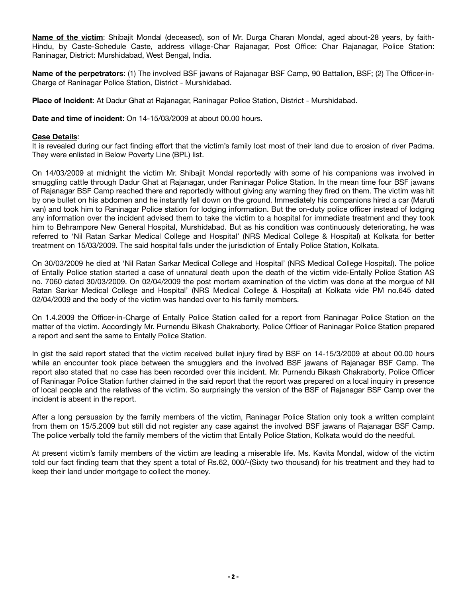**Name of the victim**: Shibajit Mondal (deceased), son of Mr. Durga Charan Mondal, aged about-28 years, by faith-Hindu, by Caste-Schedule Caste, address village-Char Rajanagar, Post Office: Char Rajanagar, Police Station: Raninagar, District: Murshidabad, West Bengal, India.

**Name of the perpetrators**: (1) The involved BSF jawans of Rajanagar BSF Camp, 90 Battalion, BSF; (2) The Officer-in-Charge of Raninagar Police Station, District - Murshidabad.

**Place of Incident**: At Dadur Ghat at Rajanagar, Raninagar Police Station, District - Murshidabad.

**Date and time of incident**: On 14-15/03/2009 at about 00.00 hours.

## **Case Details**:

It is revealed during our fact finding effort that the victim's family lost most of their land due to erosion of river Padma. They were enlisted in Below Poverty Line (BPL) list.

On 14/03/2009 at midnight the victim Mr. Shibajit Mondal reportedly with some of his companions was involved in smuggling cattle through Dadur Ghat at Rajanagar, under Raninagar Police Station. In the mean time four BSF jawans of Rajanagar BSF Camp reached there and reportedly without giving any warning they fired on them. The victim was hit by one bullet on his abdomen and he instantly fell down on the ground. Immediately his companions hired a car (Maruti van) and took him to Raninagar Police station for lodging information. But the on-duty police officer instead of lodging any information over the incident advised them to take the victim to a hospital for immediate treatment and they took him to Behrampore New General Hospital, Murshidabad. But as his condition was continuously deteriorating, he was referred to 'Nil Ratan Sarkar Medical College and Hospital' (NRS Medical College & Hospital) at Kolkata for better treatment on 15/03/2009. The said hospital falls under the jurisdiction of Entally Police Station, Kolkata.

On 30/03/2009 he died at 'Nil Ratan Sarkar Medical College and Hospital' (NRS Medical College Hospital). The police of Entally Police station started a case of unnatural death upon the death of the victim vide-Entally Police Station AS no. 7060 dated 30/03/2009. On 02/04/2009 the post mortem examination of the victim was done at the morgue of Nil Ratan Sarkar Medical College and Hospital' (NRS Medical College & Hospital) at Kolkata vide PM no.645 dated 02/04/2009 and the body of the victim was handed over to his family members.

On 1.4.2009 the Officer-in-Charge of Entally Police Station called for a report from Raninagar Police Station on the matter of the victim. Accordingly Mr. Purnendu Bikash Chakraborty, Police Officer of Raninagar Police Station prepared a report and sent the same to Entally Police Station.

In gist the said report stated that the victim received bullet injury fired by BSF on 14-15/3/2009 at about 00.00 hours while an encounter took place between the smugglers and the involved BSF jawans of Rajanagar BSF Camp. The report also stated that no case has been recorded over this incident. Mr. Purnendu Bikash Chakraborty, Police Officer of Raninagar Police Station further claimed in the said report that the report was prepared on a local inquiry in presence of local people and the relatives of the victim. So surprisingly the version of the BSF of Rajanagar BSF Camp over the incident is absent in the report.

After a long persuasion by the family members of the victim, Raninagar Police Station only took a written complaint from them on 15/5.2009 but still did not register any case against the involved BSF jawans of Rajanagar BSF Camp. The police verbally told the family members of the victim that Entally Police Station, Kolkata would do the needful.

At present victim's family members of the victim are leading a miserable life. Ms. Kavita Mondal, widow of the victim told our fact finding team that they spent a total of Rs.62, 000/-(Sixty two thousand) for his treatment and they had to keep their land under mortgage to collect the money.